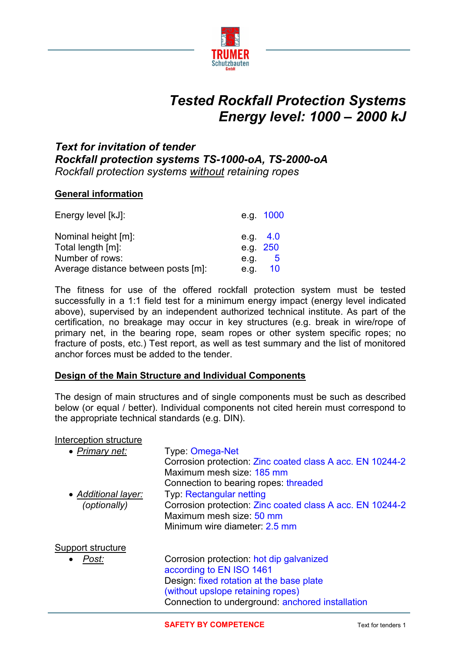

# *Tested Rockfall Protection Systems Energy level: 1000 – 2000 kJ*

## *Text for invitation of tender Rockfall protection systems TS-1000-oA, TS-2000-oA Rockfall protection systems without retaining ropes*

#### **General information**

| Energy level [kJ]:                  | e.g. 1000  |
|-------------------------------------|------------|
| Nominal height [m]:                 | e.g. $4.0$ |
| Total length [m]:                   | e.g. 250   |
| Number of rows:                     | 5<br>e.g.  |
| Average distance between posts [m]: | 10<br>e.q. |

The fitness for use of the offered rockfall protection system must be tested successfully in a 1:1 field test for a minimum energy impact (energy level indicated above), supervised by an independent authorized technical institute. As part of the certification, no breakage may occur in key structures (e.g. break in wire/rope of primary net, in the bearing rope, seam ropes or other system specific ropes; no fracture of posts, etc.) Test report, as well as test summary and the list of monitored anchor forces must be added to the tender.

#### **Design of the Main Structure and Individual Components**

The design of main structures and of single components must be such as described below (or equal / better). Individual components not cited herein must correspond to the appropriate technical standards (e.g. DIN).

#### Interception structure

| • Primary net:      | Type: Omega-Net<br>Corrosion protection: Zinc coated class A acc. EN 10244-2 |
|---------------------|------------------------------------------------------------------------------|
|                     | Maximum mesh size: 185 mm                                                    |
|                     | Connection to bearing ropes threaded                                         |
| • Additional layer: | <b>Typ: Rectangular netting</b>                                              |
| (optionally)        | Corrosion protection: Zinc coated class A acc. EN 10244-2                    |
|                     | Maximum mesh size: 50 mm                                                     |
|                     | Minimum wire diameter: 2.5 mm                                                |
| Support structure   |                                                                              |
| Post:               | Corrosion protection: hot dip galvanized                                     |
|                     | according to EN ISO 1461                                                     |
|                     | Design: fixed rotation at the base plate                                     |
|                     | (without upslope retaining ropes)                                            |
|                     | Connection to underground: anchored installation                             |
|                     |                                                                              |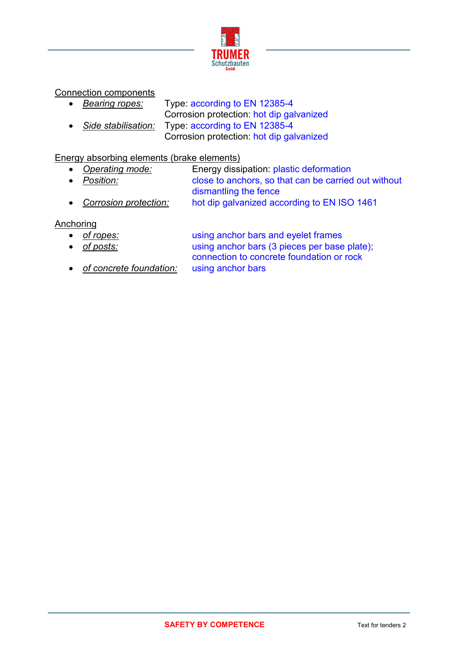

Connection components

 *Bearing ropes:* Type: according to EN 12385-4 Corrosion protection: hot dip galvanized *Side stabilisation:* Type: according to EN 12385-4 Corrosion protection: hot dip galvanized

### Energy absorbing elements (brake elements)

- *Operating mode:* Energy dissipation: plastic deformation *Position:* close to anchors, so that can be carried out without dismantling the fence
	- *Corrosion protection:* hot dip galvanized according to EN ISO 1461

Anchoring

- *of ropes:* using anchor bars and eyelet frames
- *of posts:* using anchor bars (3 pieces per base plate); connection to concrete foundation or rock
- *of concrete foundation:* using anchor bars